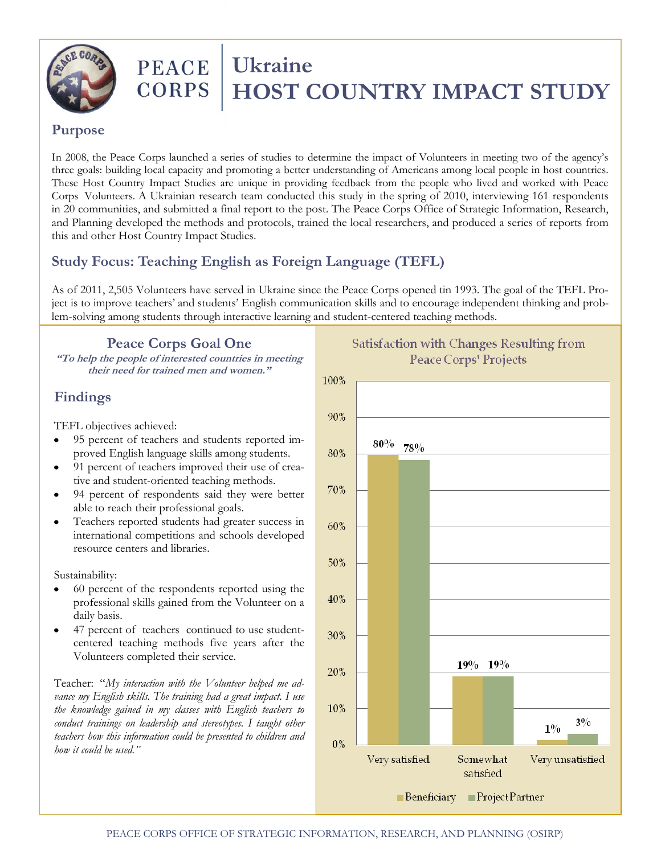

# **PEACE** Ukraine<br>CORPS HOST  **HOST COUNTRY IMPACT STUDY**

#### **Purpose**

In 2008, the Peace Corps launched a series of studies to determine the impact of Volunteers in meeting two of the agency's three goals: building local capacity and promoting a better understanding of Americans among local people in host countries. These Host Country Impact Studies are unique in providing feedback from the people who lived and worked with Peace Corps Volunteers. A Ukrainian research team conducted this study in the spring of 2010, interviewing 161 respondents in 20 communities, and submitted a final report to the post. The Peace Corps Office of Strategic Information, Research, and Planning developed the methods and protocols, trained the local researchers, and produced a series of reports from this and other Host Country Impact Studies.

# **Study Focus: Teaching English as Foreign Language (TEFL)**

As of 2011, 2,505 Volunteers have served in Ukraine since the Peace Corps opened tin 1993. The goal of the TEFL Project is to improve teachers' and students' English communication skills and to encourage independent thinking and problem-solving among students through interactive learning and student-centered teaching methods.

**Peace Corps Goal One**

**"To help the people of interested countries in meeting their need for trained men and women."**

## **Findings**

TEFL objectives achieved:

- 95 percent of teachers and students reported improved English language skills among students.
- 91 percent of teachers improved their use of creative and student-oriented teaching methods.
- 94 percent of respondents said they were better able to reach their professional goals.
- Teachers reported students had greater success in international competitions and schools developed resource centers and libraries.

Sustainability:

- 60 percent of the respondents reported using the professional skills gained from the Volunteer on a daily basis.
- 47 percent of teachers continued to use studentcentered teaching methods five years after the Volunteers completed their service.

Teacher: "*My interaction with the Volunteer helped me advance my English skills. The training had a great impact. I use the knowledge gained in my classes with English teachers to conduct trainings on leadership and stereotypes. I taught other teachers how this information could be presented to children and how it could be used."*



**Satisfaction with Changes Resulting from** Peace Corps' Projects